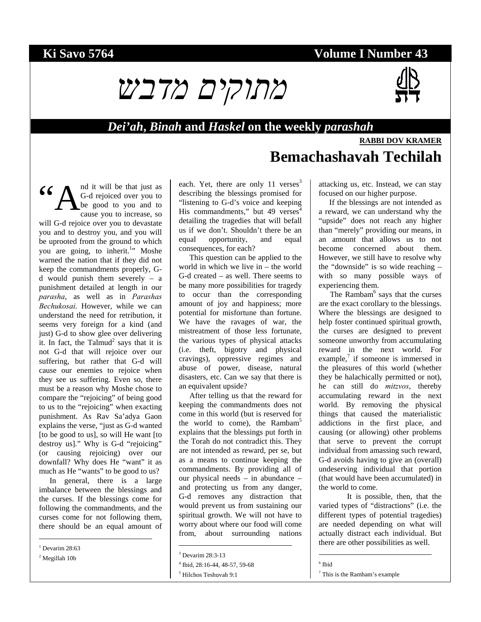## **Ki Savo 5764 Volume I Number 43**

# *מתוקים מדבש*



#### *Dei'ah***,** *Binah* **and** *Haskel* **on the weekly** *parashah*

## **RABBI DOV KRAMER**

# **Bemachashavah Techilah**

nd it will be that just as G-d rejoiced over you to be good to you and to cause you to increase, so will G-d rejoice over you to devastate you and to destroy you, and you will be uprooted from the ground to which you are going, to inherit.<sup>1</sup>" Moshe warned the nation that if they did not keep the commandments properly, Gd would punish them severely – a punishment detailed at length in our *parasha*, as well as in *Parashas Bechukosai*. However, while we can understand the need for retribution, it seems very foreign for a kind (and just) G-d to show glee over delivering it. In fact, the Talmud<sup>2</sup> says that it is not G-d that will rejoice over our suffering, but rather that G-d will cause our enemies to rejoice when they see us suffering. Even so, there must be a reason why Moshe chose to compare the "rejoicing" of being good to us to the "rejoicing" when exacting punishment. As Rav Sa'adya Gaon explains the verse, "just as G-d wanted [to be good to us], so will He want [to destroy us]." Why is G-d "rejoicing" (or causing rejoicing) over our downfall? Why does He "want" it as much as He "wants" to be good to us? "A

In general, there is a large imbalance between the blessings and the curses. If the blessings come for following the commandments, and the curses come for not following them, there should be an equal amount of

 $1$  Devarim 28:63

l

2 Megillah 10b

each. Yet, there are only 11 verses $3$ describing the blessings promised for "listening to G-d's voice and keeping His commandments," but 49 verses<sup>4</sup> detailing the tragedies that will befall us if we don't. Shouldn't there be an equal opportunity, and equal consequences, for each?

This question can be applied to the world in which we live in – the world G-d created – as well. There seems to be many more possibilities for tragedy to occur than the corresponding amount of joy and happiness; more potential for misfortune than fortune. We have the ravages of war, the mistreatment of those less fortunate, the various types of physical attacks (i.e. theft, bigotry and physical cravings), oppressive regimes and abuse of power, disease, natural disasters, etc. Can we say that there is an equivalent upside?

After telling us that the reward for keeping the commandments does not come in this world (but is reserved for the world to come), the Rambam<sup>5</sup> explains that the blessings put forth in the Torah do not contradict this. They are not intended as reward, per se, but as a means to continue keeping the commandments. By providing all of our physical needs – in abundance – and protecting us from any danger, G-d removes any distraction that would prevent us from sustaining our spiritual growth. We will not have to worry about where our food will come from, about surrounding nations

l

attacking us, etc. Instead, we can stay focused on our higher purpose.

If the blessings are not intended as a reward, we can understand why the "upside" does not reach any higher than "merely" providing our means, in an amount that allows us to not become concerned about them. However, we still have to resolve why the "downside" is so wide reaching – with so many possible ways of experiencing them.

The Rambam<sup>6</sup> says that the curses are the exact corollary to the blessings. Where the blessings are designed to help foster continued spiritual growth, the curses are designed to prevent someone unworthy from accumulating reward in the next world. For example, $\bar{y}$  if someone is immersed in the pleasures of this world (whether they be halachically permitted or not), he can still do *mitzvos*, thereby accumulating reward in the next world. By removing the physical things that caused the materialistic addictions in the first place, and causing (or allowing) other problems that serve to prevent the corrupt individual from amassing such reward, G-d avoids having to give an (overall) undeserving individual that portion (that would have been accumulated) in the world to come.

It is possible, then, that the varied types of "distractions" (i.e. the different types of potential tragedies) are needed depending on what will actually distract each individual. But there are other possibilities as well.

6 Ibid

 $\overline{a}$ 

<sup>3</sup> Devarim 28:3-13

<sup>4</sup> Ibid, 28:16-44, 48-57, 59-68

<sup>5</sup> Hilchos Teshuvah 9:1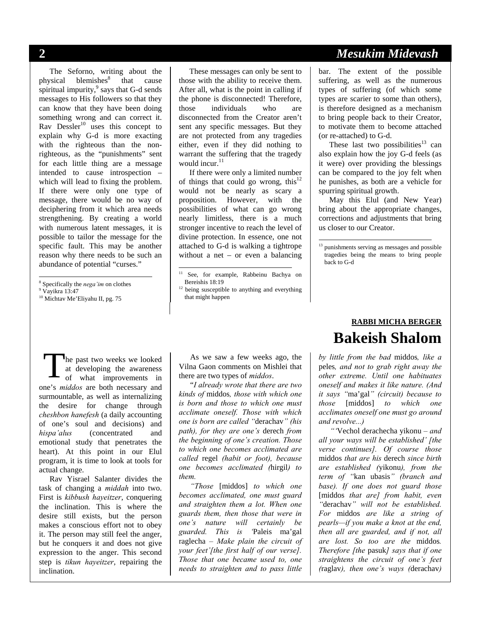The Seforno, writing about the physical blemishes<sup>8</sup> that cause spiritual impurity, $9$  says that G-d sends messages to His followers so that they can know that they have been doing something wrong and can correct it. Rav Dessler<sup>10</sup> uses this concept to explain why G-d is more exacting with the righteous than the nonrighteous, as the "punishments" sent for each little thing are a message intended to cause introspection – which will lead to fixing the problem. If there were only one type of message, there would be no way of deciphering from it which area needs strengthening. By creating a world with numerous latent messages, it is possible to tailor the message for the specific fault. This may be another reason why there needs to be such an abundance of potential "curses."

<sup>8</sup> Specifically the *nega'im* on clothes  $9^9$  Vovikra 13:47

l

These messages can only be sent to those with the ability to receive them. After all, what is the point in calling if the phone is disconnected! Therefore, those individuals who are disconnected from the Creator aren't sent any specific messages. But they are not protected from any tragedies either, even if they did nothing to warrant the suffering that the tragedy would incur. $11$ 

If there were only a limited number of things that could go wrong, this<sup>12</sup> would not be nearly as scary a proposition. However, with the possibilities of what can go wrong nearly limitless, there is a much stronger incentive to reach the level of divine protection. In essence, one not attached to G-d is walking a tightrope without a net – or even a balancing

l

he past two weeks we looked at developing the awareness of what improvements in one's *middos* are both necessary and surmountable, as well as internalizing the desire for change through *cheshbon hanefesh* (a daily accounting of one's soul and decisions) and *hispa'alus* (concentrated and emotional study that penetrates the heart). At this point in our Elul program, it is time to look at tools for actual change. T

Rav Yisrael Salanter divides the task of changing a *middah* into two. First is *kibbush hayeitzer*, conquering the inclination. This is where the desire still exists, but the person makes a conscious effort not to obey it. The person may still feel the anger, but he conquers it and does not give expression to the anger. This second step is *tikun hayeitzer*, repairing the inclination.

As we saw a few weeks ago, the Vilna Gaon comments on Mishlei that there are two types of *middos*.

"*I already wrote that there are two kinds of* middos*, those with which one is born and those to which one must acclimate oneself. Those with which one is born are called "*derachav*" (his path), for they are one's* derech *from the beginning of one's creation. Those to which one becomes acclimated are called* regel *(habit or foot), because one becomes acclimated (*hirgil*) to them.* 

*"Those* [middos] *to which one becomes acclimated, one must guard and straighten them a lot. When one guards them, then those that were in one's nature will certainly be guarded. This is '*Paleis ma'gal raglecha *– Make plain the circuit of your feet'[the first half of our verse]. Those that one became used to, one needs to straighten and to pass little* 

#### **2** *Mesukim Midevash*

bar. The extent of the possible suffering, as well as the numerous types of suffering (of which some types are scarier to some than others), is therefore designed as a mechanism to bring people back to their Creator, to motivate them to become attached (or re-attached) to G-d.

These last two possibilities<sup>13</sup> can also explain how the joy G-d feels (as it were) over providing the blessings can be compared to the joy felt when he punishes, as both are a vehicle for spurring spiritual growth.

May this Elul (and New Year) bring about the appropriate changes, corrections and adjustments that bring us closer to our Creator.

<sup>13</sup> punishments serving as messages and possible tragedies being the means to bring people back to G-d

 $\overline{a}$ 

## **RABBI MICHA BERGER Bakeish Shalom**

*by little from the bad* middos*, like a*  peles*, and not to grab right away the other extreme. Until one habituates oneself and makes it like nature. (And it says "*ma'gal*" (circuit) because to those* [middos] *to which one acclimates oneself one must go around and revolve...)* 

*"'*Vechol derachecha yikonu *– and all your ways will be established' [the verse continues]. Of course those*  middos *that are his* derech *since birth are established (*yikonu*), from the term of "*kan ubasis*" (branch and base). If one does not guard those*  [middos *that are] from habit, even "*derachav*" will not be established. For* middos *are like a string of pearls—if you make a knot at the end, then all are guarded, and if not, all are lost. So too are the* middos*. Therefore [the* pasuk*] says that if one straightens the circuit of one's feet (*raglav*), then one's ways (*derachav*)* 

<sup>&</sup>lt;sup>9</sup> Vavikra 13:47

<sup>10</sup> Michtav Me'Eliyahu II, pg. 75

<sup>11</sup> See, for example, Rabbeinu Bachya on Bereishis 18:19<br><sup>12</sup> being susceptible to anything and everything

that might happen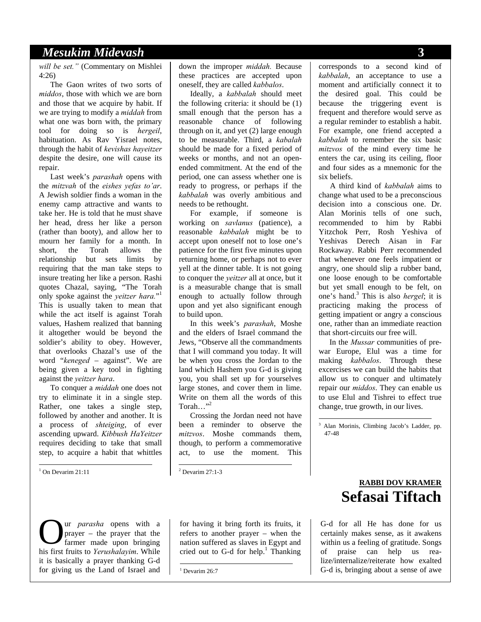#### *Mesukim Midevash* **3**

*will be set."* (Commentary on Mishlei 4:26)

The Gaon writes of two sorts of *middos*, those with which we are born and those that we acquire by habit. If we are trying to modify a *middah* from what one was born with, the primary tool for doing so is *hergeil*, habituation. As Rav Yisrael notes, through the habit of *kevishas hayeitzer* despite the desire, one will cause its repair.

Last week's *parashah* opens with the *mitzvah* of the *eishes yefas to'ar*. A Jewish soldier finds a woman in the enemy camp attractive and wants to take her. He is told that he must shave her head, dress her like a person (rather than booty), and allow her to mourn her family for a month. In short, the Torah allows the relationship but sets limits by requiring that the man take steps to insure treating her like a person. Rashi quotes Chazal, saying, "The Torah only spoke against the *yeitzer hara.*" 1 This is usually taken to mean that while the act itself is against Torah values, Hashem realized that banning it altogether would be beyond the soldier's ability to obey. However, that overlooks Chazal's use of the word "*keneged* – against". We are being given a key tool in fighting against the *yeitzer hara*.

To conquer a *middah* one does not try to eliminate it in a single step. Rather, one takes a single step, followed by another and another. It is a process of *shteiging*, of ever ascending upward. *Kibbush HaYeitzer* requires deciding to take that small step, to acquire a habit that whittles

<sup>1</sup> On Devarim 21:11

l

ur *parasha* opens with a prayer – the prayer that the farmer made upon bringing his first fruits to *Yerushalayim*. While it is basically a prayer thanking G-d for giving us the Land of Israel and O

down the improper *middah.* Because these practices are accepted upon oneself, they are called *kabbalos*.

Ideally, a *kabbalah* should meet the following criteria: it should be (1) small enough that the person has a reasonable chance of following through on it, and yet (2) large enough to be measurable. Third, a *kabalah* should be made for a fixed period of weeks or months, and not an openended commitment. At the end of the period, one can assess whether one is ready to progress, or perhaps if the *kabbalah* was overly ambitious and needs to be rethought.

For example, if someone is working on *savlanus* (patience), a reasonable *kabbalah* might be to accept upon oneself not to lose one's patience for the first five minutes upon returning home, or perhaps not to ever yell at the dinner table. It is not going to conquer the *yeitzer* all at once, but it is a measurable change that is small enough to actually follow through upon and yet also significant enough to build upon.

In this week's *parashah*, Moshe and the elders of Israel command the Jews, "Observe all the commandments that I will command you today. It will be when you cross the Jordan to the land which Hashem you G-d is giving you, you shall set up for yourselves large stones, and cover them in lime. Write on them all the words of this Torah..." $^{32}$ 

Crossing the Jordan need not have been a reminder to observe the *mitzvos*. Moshe commands them, though, to perform a commemorative act, to use the moment. This

2 Devarim 27:1-3

for having it bring forth its fruits, it refers to another prayer – when the nation suffered as slaves in Egypt and cried out to G-d for help. $<sup>1</sup>$  Thanking</sup>

-<sup>1</sup> Devarim 26:7 corresponds to a second kind of *kabbalah*, an acceptance to use a moment and artificially connect it to the desired goal. This could be because the triggering event is frequent and therefore would serve as a regular reminder to establish a habit. For example, one friend accepted a *kabbalah* to remember the six basic *mitzvos* of the mind every time he enters the car, using its ceiling, floor and four sides as a mnemonic for the six beliefs.

A third kind of *kabbalah* aims to change what used to be a preconscious decision into a conscious one. Dr. Alan Morinis tells of one such, recommended to him by Rabbi Yitzchok Perr, Rosh Yeshiva of Yeshivas Derech Aisan in Far Rockaway. Rabbi Perr recommended that whenever one feels impatient or angry, one should slip a rubber band, one loose enough to be comfortable but yet small enough to be felt, on one's hand.<sup>3</sup> This is also *hergel*; it is practicing making the process of getting impatient or angry a conscious one, rather than an immediate reaction that short-circuits our free will.

In the *Mussar* communities of prewar Europe, Elul was a time for making *kabbalos*. Through these excercises we can build the habits that allow us to conquer and ultimately repair our *middos*. They can enable us to use Elul and Tishrei to effect true change, true growth, in our lives.

 $\overline{a}$ 

#### **RABBI DOV KRAMER Sefasai Tiftach**

G-d for all He has done for us certainly makes sense, as it awakens within us a feeling of gratitude. Songs of praise can help us realize/internalize/reiterate how exalted G-d is, bringing about a sense of awe

<sup>&</sup>lt;sup>3</sup> Alan Morinis, Climbing Jacob's Ladder, pp. 47-48